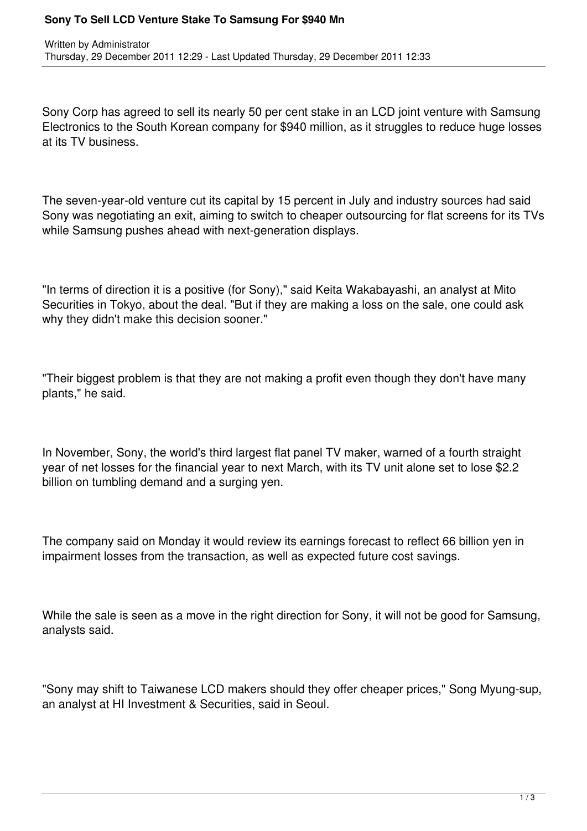## **Sony To Sell LCD Venture Stake To Samsung For \$940 Mn**

Sony Corp has agreed to sell its nearly 50 per cent stake in an LCD joint venture with Samsung Electronics to the South Korean company for \$940 million, as it struggles to reduce huge losses at its TV business.

The seven-year-old venture cut its capital by 15 percent in July and industry sources had said Sony was negotiating an exit, aiming to switch to cheaper outsourcing for flat screens for its TVs while Samsung pushes ahead with next-generation displays.

"In terms of direction it is a positive (for Sony)," said Keita Wakabayashi, an analyst at Mito Securities in Tokyo, about the deal. "But if they are making a loss on the sale, one could ask why they didn't make this decision sooner."

"Their biggest problem is that they are not making a profit even though they don't have many plants," he said.

In November, Sony, the world's third largest flat panel TV maker, warned of a fourth straight year of net losses for the financial year to next March, with its TV unit alone set to lose \$2.2 billion on tumbling demand and a surging yen.

The company said on Monday it would review its earnings forecast to reflect 66 billion yen in impairment losses from the transaction, as well as expected future cost savings.

While the sale is seen as a move in the right direction for Sony, it will not be good for Samsung, analysts said.

"Sony may shift to Taiwanese LCD makers should they offer cheaper prices," Song Myung-sup, an analyst at HI Investment & Securities, said in Seoul.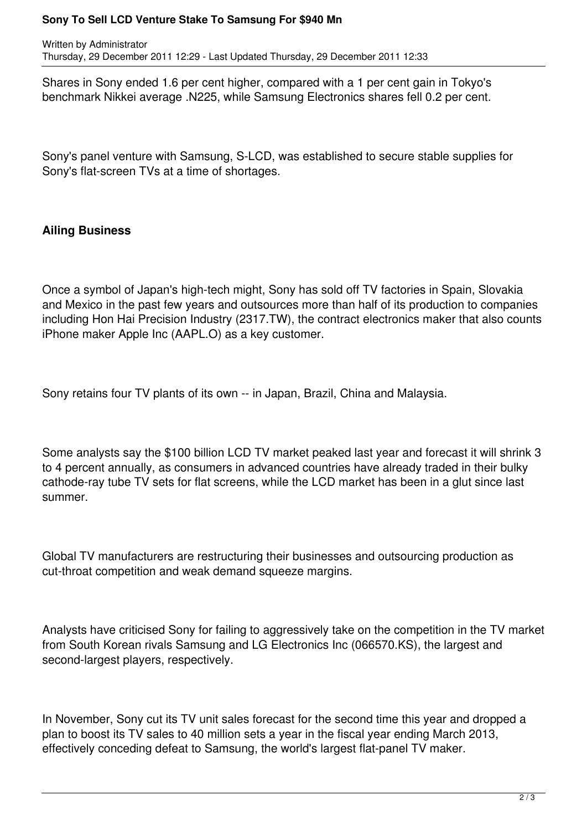## **Sony To Sell LCD Venture Stake To Samsung For \$940 Mn**

Written by Administrator Thursday, 29 December 2011 12:29 - Last Updated Thursday, 29 December 2011 12:33

Shares in Sony ended 1.6 per cent higher, compared with a 1 per cent gain in Tokyo's benchmark Nikkei average .N225, while Samsung Electronics shares fell 0.2 per cent.

Sony's panel venture with Samsung, S-LCD, was established to secure stable supplies for Sony's flat-screen TVs at a time of shortages.

## **Ailing Business**

Once a symbol of Japan's high-tech might, Sony has sold off TV factories in Spain, Slovakia and Mexico in the past few years and outsources more than half of its production to companies including Hon Hai Precision Industry (2317.TW), the contract electronics maker that also counts iPhone maker Apple Inc (AAPL.O) as a key customer.

Sony retains four TV plants of its own -- in Japan, Brazil, China and Malaysia.

Some analysts say the \$100 billion LCD TV market peaked last year and forecast it will shrink 3 to 4 percent annually, as consumers in advanced countries have already traded in their bulky cathode-ray tube TV sets for flat screens, while the LCD market has been in a glut since last summer.

Global TV manufacturers are restructuring their businesses and outsourcing production as cut-throat competition and weak demand squeeze margins.

Analysts have criticised Sony for failing to aggressively take on the competition in the TV market from South Korean rivals Samsung and LG Electronics Inc (066570.KS), the largest and second-largest players, respectively.

In November, Sony cut its TV unit sales forecast for the second time this year and dropped a plan to boost its TV sales to 40 million sets a year in the fiscal year ending March 2013, effectively conceding defeat to Samsung, the world's largest flat-panel TV maker.